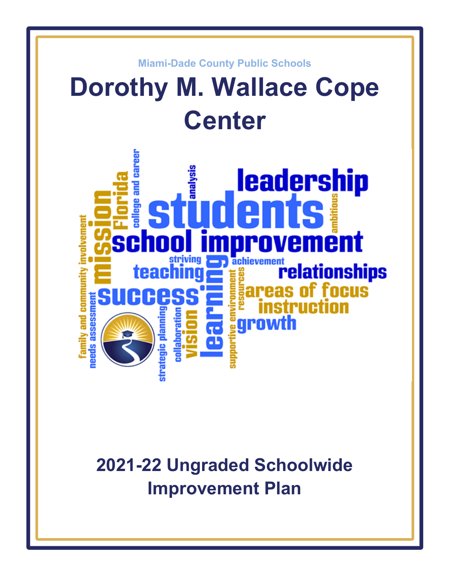

# **2021-22 Ungraded Schoolwide Improvement Plan**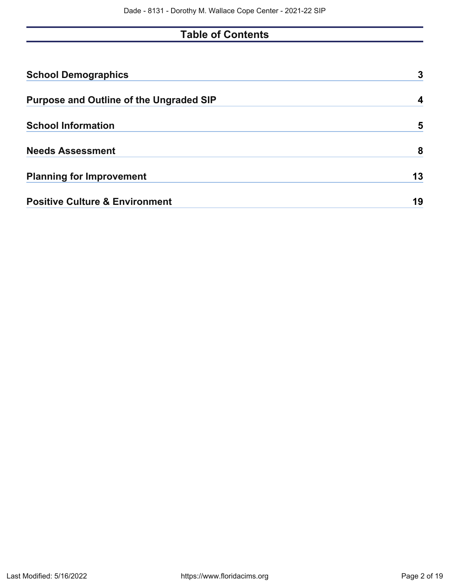# **Table of Contents**

| <b>School Demographics</b>                     | 3  |
|------------------------------------------------|----|
| <b>Purpose and Outline of the Ungraded SIP</b> | 4  |
| <b>School Information</b>                      | 5  |
| <b>Needs Assessment</b>                        | 8  |
| <b>Planning for Improvement</b>                | 13 |
| <b>Positive Culture &amp; Environment</b>      | 19 |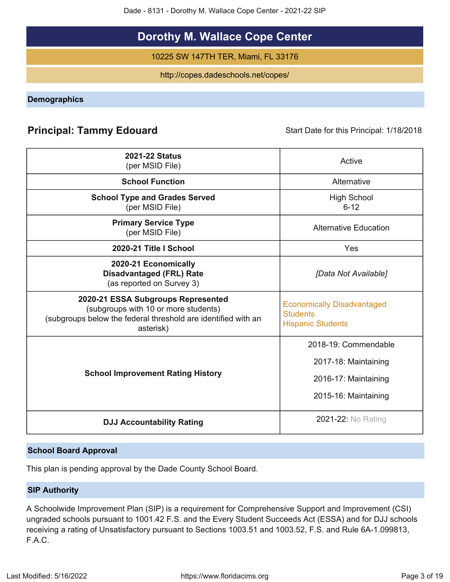Dade - 8131 - Dorothy M. Wallace Cope Center - 2021-22 SIP

# **Dorothy M. Wallace Cope Center**

10225 SW 147TH TER, Miami, FL 33176

http://copes.dadeschools.net/copes/

<span id="page-2-0"></span>**Demographics**

# **Principal: Tammy Edouard** Start Date for this Principal: 1/18/2018

| <b>2021-22 Status</b><br>(per MSID File)                                                                                                                 | Active                                                                                       |
|----------------------------------------------------------------------------------------------------------------------------------------------------------|----------------------------------------------------------------------------------------------|
| <b>School Function</b>                                                                                                                                   | Alternative                                                                                  |
| <b>School Type and Grades Served</b><br>(per MSID File)                                                                                                  | <b>High School</b><br>$6 - 12$                                                               |
| <b>Primary Service Type</b><br>(per MSID File)                                                                                                           | <b>Alternative Education</b>                                                                 |
| 2020-21 Title I School                                                                                                                                   | Yes                                                                                          |
| 2020-21 Economically<br><b>Disadvantaged (FRL) Rate</b><br>(as reported on Survey 3)                                                                     | [Data Not Available]                                                                         |
| 2020-21 ESSA Subgroups Represented<br>(subgroups with 10 or more students)<br>(subgroups below the federal threshold are identified with an<br>asterisk) | <b>Economically Disadvantaged</b><br><b>Students</b><br><b>Hispanic Students</b>             |
| <b>School Improvement Rating History</b>                                                                                                                 | 2018-19: Commendable<br>2017-18: Maintaining<br>2016-17: Maintaining<br>2015-16: Maintaining |
| <b>DJJ Accountability Rating</b>                                                                                                                         | <b>2021-22: No Rating</b>                                                                    |

### **School Board Approval**

This plan is pending approval by the Dade County School Board.

### **SIP Authority**

A Schoolwide Improvement Plan (SIP) is a requirement for Comprehensive Support and Improvement (CSI) ungraded schools pursuant to 1001.42 F.S. and the Every Student Succeeds Act (ESSA) and for DJJ schools receiving a rating of Unsatisfactory pursuant to Sections 1003.51 and 1003.52, F.S. and Rule 6A-1.099813, F.A.C.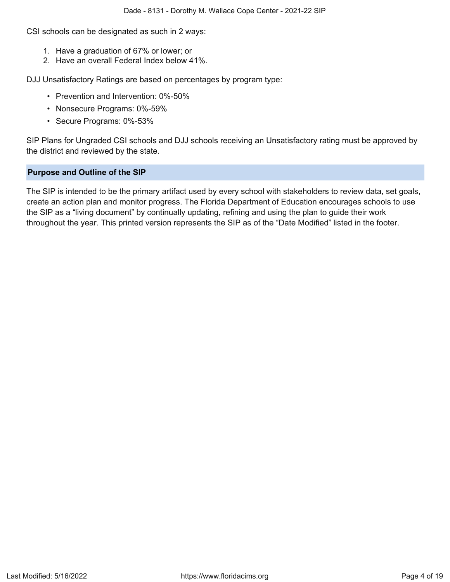CSI schools can be designated as such in 2 ways:

- 1. Have a graduation of 67% or lower; or
- 2. Have an overall Federal Index below 41%.

DJJ Unsatisfactory Ratings are based on percentages by program type:

- Prevention and Intervention: 0%-50%
- Nonsecure Programs: 0%-59%
- Secure Programs: 0%-53%

SIP Plans for Ungraded CSI schools and DJJ schools receiving an Unsatisfactory rating must be approved by the district and reviewed by the state.

### <span id="page-3-0"></span>**Purpose and Outline of the SIP**

The SIP is intended to be the primary artifact used by every school with stakeholders to review data, set goals, create an action plan and monitor progress. The Florida Department of Education encourages schools to use the SIP as a "living document" by continually updating, refining and using the plan to guide their work throughout the year. This printed version represents the SIP as of the "Date Modified" listed in the footer.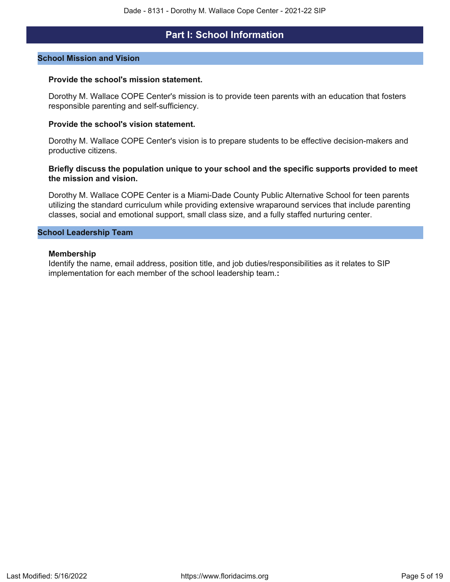### **Part I: School Information**

#### <span id="page-4-0"></span>**School Mission and Vision**

#### **Provide the school's mission statement.**

Dorothy M. Wallace COPE Center's mission is to provide teen parents with an education that fosters responsible parenting and self-sufficiency.

#### **Provide the school's vision statement.**

Dorothy M. Wallace COPE Center's vision is to prepare students to be effective decision-makers and productive citizens.

### **Briefly discuss the population unique to your school and the specific supports provided to meet the mission and vision.**

Dorothy M. Wallace COPE Center is a Miami-Dade County Public Alternative School for teen parents utilizing the standard curriculum while providing extensive wraparound services that include parenting classes, social and emotional support, small class size, and a fully staffed nurturing center.

### **School Leadership Team**

#### **Membership**

Identify the name, email address, position title, and job duties/responsibilities as it relates to SIP implementation for each member of the school leadership team.**:**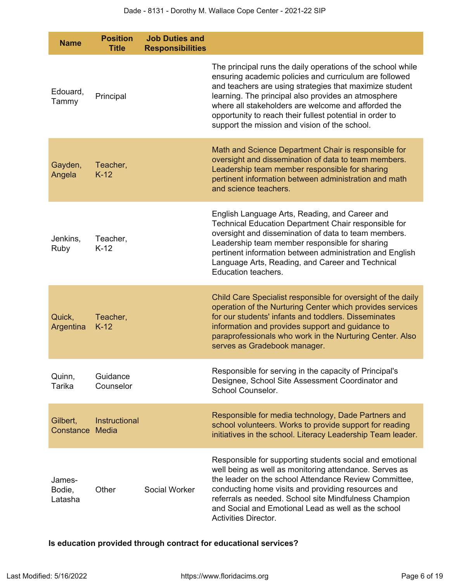| <b>Name</b>                 | <b>Position</b><br><b>Title</b> | <b>Job Duties and</b><br><b>Responsibilities</b> |                                                                                                                                                                                                                                                                                                                                                                                                             |
|-----------------------------|---------------------------------|--------------------------------------------------|-------------------------------------------------------------------------------------------------------------------------------------------------------------------------------------------------------------------------------------------------------------------------------------------------------------------------------------------------------------------------------------------------------------|
| Edouard,<br>Tammy           | Principal                       |                                                  | The principal runs the daily operations of the school while<br>ensuring academic policies and curriculum are followed<br>and teachers are using strategies that maximize student<br>learning. The principal also provides an atmosphere<br>where all stakeholders are welcome and afforded the<br>opportunity to reach their fullest potential in order to<br>support the mission and vision of the school. |
| Gayden,<br>Angela           | Teacher,<br>$K-12$              |                                                  | Math and Science Department Chair is responsible for<br>oversight and dissemination of data to team members.<br>Leadership team member responsible for sharing<br>pertinent information between administration and math<br>and science teachers.                                                                                                                                                            |
| Jenkins,<br>Ruby            | Teacher,<br>$K-12$              |                                                  | English Language Arts, Reading, and Career and<br>Technical Education Department Chair responsible for<br>oversight and dissemination of data to team members.<br>Leadership team member responsible for sharing<br>pertinent information between administration and English<br>Language Arts, Reading, and Career and Technical<br>Education teachers.                                                     |
| Quick,<br>Argentina         | Teacher,<br>$K-12$              |                                                  | Child Care Specialist responsible for oversight of the daily<br>operation of the Nurturing Center which provides services<br>for our students' infants and toddlers. Disseminates<br>information and provides support and guidance to<br>paraprofessionals who work in the Nurturing Center. Also<br>serves as Gradebook manager.                                                                           |
| Quinn,<br>Tarika            | Guidance<br>Counselor           |                                                  | Responsible for serving in the capacity of Principal's<br>Designee, School Site Assessment Coordinator and<br>School Counselor.                                                                                                                                                                                                                                                                             |
| Gilbert,<br>Constance       | <b>Instructional</b><br>Media   |                                                  | Responsible for media technology, Dade Partners and<br>school volunteers. Works to provide support for reading<br>initiatives in the school. Literacy Leadership Team leader.                                                                                                                                                                                                                               |
| James-<br>Bodie,<br>Latasha | Other                           | Social Worker                                    | Responsible for supporting students social and emotional<br>well being as well as monitoring attendance. Serves as<br>the leader on the school Attendance Review Committee.<br>conducting home visits and providing resources and<br>referrals as needed. School site Mindfulness Champion<br>and Social and Emotional Lead as well as the school<br>Activities Director.                                   |

**Is education provided through contract for educational services?**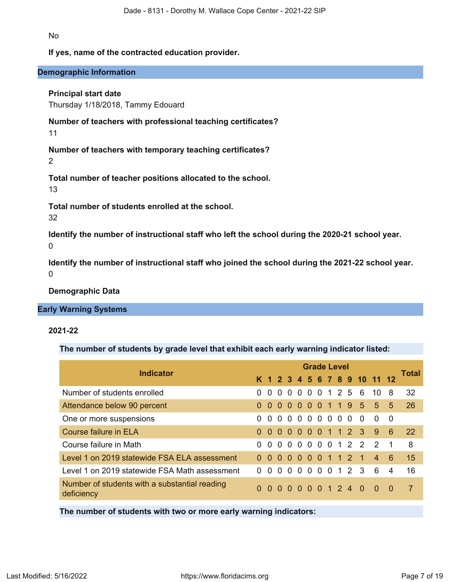No

### **If yes, name of the contracted education provider.**

### **Demographic Information**

### **Principal start date**

Thursday 1/18/2018, Tammy Edouard

**Number of teachers with professional teaching certificates?**

11

**Number of teachers with temporary teaching certificates?**

2

**Total number of teacher positions allocated to the school.**

13

**Total number of students enrolled at the school.**

32

**Identify the number of instructional staff who left the school during the 2020-21 school year.**  $\Omega$ 

**Identify the number of instructional staff who joined the school during the 2021-22 school year.**  $\Omega$ 

**Demographic Data**

### **Early Warning Systems**

### **2021-22**

**The number of students by grade level that exhibit each early warning indicator listed:**

|                                                             | <b>Grade Level</b> |              |          |          |                          |                |          |                |                |                     |                 |                              |                | <b>Total</b>   |
|-------------------------------------------------------------|--------------------|--------------|----------|----------|--------------------------|----------------|----------|----------------|----------------|---------------------|-----------------|------------------------------|----------------|----------------|
| <b>Indicator</b>                                            |                    |              |          |          |                          |                |          |                |                |                     |                 | K 1 2 3 4 5 6 7 8 9 10 11 12 |                |                |
| Number of students enrolled                                 | $\Omega$           | $\Omega$     | $\Omega$ |          |                          |                |          |                |                |                     | 0 0 0 0 1 2 5 6 | 10                           | 8              | 32             |
| Attendance below 90 percent                                 |                    | $\Omega$     |          |          |                          |                |          |                |                |                     | 000001195       | $5^{\circ}$                  | 5              | 26             |
| One or more suspensions                                     | $\Omega$           | 0            | $\Omega$ | $\Omega$ | $\Omega$                 | $\overline{0}$ |          | 0 <sub>0</sub> | 0 <sub>0</sub> |                     | $\Omega$        | <sup>0</sup>                 | - 0            |                |
| Course failure in ELA                                       | $\Omega$           | $\Omega$     |          |          | $0\quad 0\quad 0\quad 0$ |                |          |                |                |                     | 0 1 1 2 3       | 9                            | 6              | <b>22</b>      |
| Course failure in Math                                      | 0                  | $\Omega$     |          |          |                          |                |          |                |                |                     | 000000122       | $\mathcal{P}$                | $\overline{1}$ | 8              |
| Level 1 on 2019 statewide FSA ELA assessment                | $\Omega$           | $\Omega$     |          |          |                          |                |          |                |                | 0 0 0 0 0 1 1 2 1   |                 | $\overline{4}$               | -6             | 15             |
| Level 1 on 2019 statewide FSA Math assessment               | <sup>0</sup>       | <sup>0</sup> | $\Omega$ | $\Omega$ | $\Omega$                 | $\Omega$       | $\Omega$ | $\Omega$       | $\overline{1}$ | $\overline{2}$      | -3              | 6                            | $\overline{4}$ | 16             |
| Number of students with a substantial reading<br>deficiency | $\Omega$           |              |          |          |                          |                |          |                |                | 0 0 0 0 0 0 1 2 4 0 |                 | - റ                          | - 0            | $\overline{7}$ |
|                                                             |                    |              |          |          |                          |                |          |                |                |                     |                 |                              |                |                |

**The number of students with two or more early warning indicators:**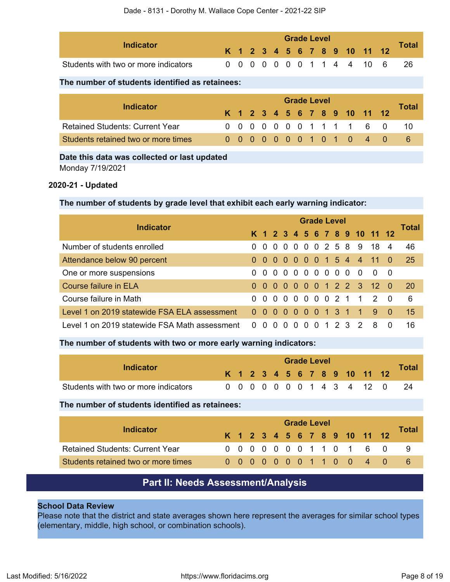| Indicator                            |  | <b>Grade Level</b> |  |  |  |  |  |  |  |  |  |                              |  |              |
|--------------------------------------|--|--------------------|--|--|--|--|--|--|--|--|--|------------------------------|--|--------------|
|                                      |  |                    |  |  |  |  |  |  |  |  |  | K 1 2 3 4 5 6 7 8 9 10 11 12 |  | <b>Total</b> |
| Students with two or more indicators |  |                    |  |  |  |  |  |  |  |  |  | 0 0 0 0 0 0 0 1 1 4 4 10 6   |  | -26          |

### **The number of students identified as retainees:**

|                                        | <b>Grade Level</b> |  |  |  |  |  |  |  |  |  |  |                              |              |
|----------------------------------------|--------------------|--|--|--|--|--|--|--|--|--|--|------------------------------|--------------|
| Indicator                              |                    |  |  |  |  |  |  |  |  |  |  | K 1 2 3 4 5 6 7 8 9 10 11 12 | <b>Total</b> |
| <b>Retained Students: Current Year</b> |                    |  |  |  |  |  |  |  |  |  |  | 0 0 0 0 0 0 0 1 1 1 1 6 0    | -10          |
| Students retained two or more times    |                    |  |  |  |  |  |  |  |  |  |  | 0 0 0 0 0 0 0 1 0 1 0 4 0    |              |

# **Date this data was collected or last updated**

Monday 7/19/2021

### **2020-21 - Updated**

### **The number of students by grade level that exhibit each early warning indicator:**

|                                               | <b>Grade Level</b> |     |          |          |            |          |  |  |  |         |                |                              |          | <b>Total</b> |
|-----------------------------------------------|--------------------|-----|----------|----------|------------|----------|--|--|--|---------|----------------|------------------------------|----------|--------------|
| <b>Indicator</b>                              |                    |     |          |          |            |          |  |  |  |         |                | K 1 2 3 4 5 6 7 8 9 10 11 12 |          |              |
| Number of students enrolled                   | 0 <sub>0</sub>     |     |          |          |            |          |  |  |  |         | 000002589      | 18 4                         |          | 46           |
| Attendance below 90 percent                   |                    |     |          |          |            |          |  |  |  |         |                | 0 0 0 0 0 0 0 1 5 4 4 11 0   |          | 25           |
| One or more suspensions                       |                    |     |          |          | 0000000000 |          |  |  |  |         | - റ            | $\overline{0}$               | - 0      |              |
| <b>Course failure in ELA</b>                  |                    |     |          |          |            |          |  |  |  |         |                | 0 0 0 0 0 0 0 1 2 2 3 12 0   |          | -20          |
| Course failure in Math                        |                    | 0 O |          |          |            |          |  |  |  |         |                | 00000021120                  |          | 6            |
| Level 1 on 2019 statewide FSA ELA assessment  | 0 <sub>0</sub>     |     | $\Omega$ | - 0      |            |          |  |  |  |         | 0 0 0 1 3 1 1  | 9                            | - 0      | 15           |
| Level 1 on 2019 statewide FSA Math assessment | <sup>0</sup>       |     |          | $\Omega$ | $\Omega$   | $\Omega$ |  |  |  | 0 1 2 3 | $\overline{2}$ | 8                            | $\Omega$ | 16           |

### **The number of students with two or more early warning indicators:**

| Indicator                            |  |  | <b>Grade Level</b> |  |  |  |  |  |  |  |  |                              |  |              |  |
|--------------------------------------|--|--|--------------------|--|--|--|--|--|--|--|--|------------------------------|--|--------------|--|
|                                      |  |  |                    |  |  |  |  |  |  |  |  | K 1 2 3 4 5 6 7 8 9 10 11 12 |  | <b>Total</b> |  |
| Students with two or more indicators |  |  |                    |  |  |  |  |  |  |  |  | 0 0 0 0 0 0 0 1 4 3 4 12 0   |  |              |  |

#### **The number of students identified as retainees:**

|                                        |  |  |  | <b>Grade Level</b> |  |  |                              |              |
|----------------------------------------|--|--|--|--------------------|--|--|------------------------------|--------------|
| Indicator                              |  |  |  |                    |  |  | K 1 2 3 4 5 6 7 8 9 10 11 12 | <b>Total</b> |
| <b>Retained Students: Current Year</b> |  |  |  |                    |  |  | 0 0 0 0 0 0 0 1 1 0 1 6 0    |              |
| Students retained two or more times    |  |  |  |                    |  |  | 00000001100 4 0              |              |

### **Part II: Needs Assessment/Analysis**

### <span id="page-7-0"></span>**School Data Review**

Please note that the district and state averages shown here represent the averages for similar school types (elementary, middle, high school, or combination schools).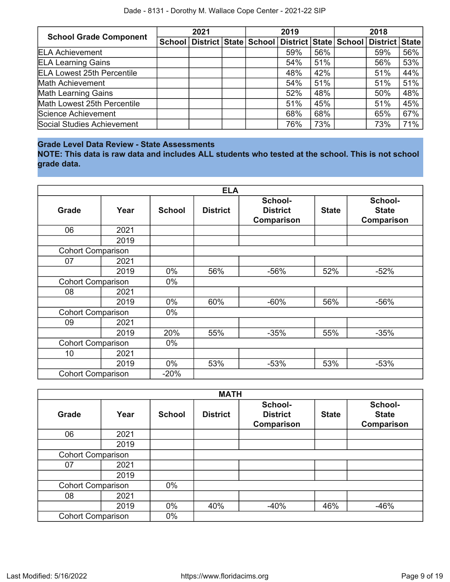| <b>School Grade Component</b>     | 2021 |  | 2019                                                           |     | 2018 |                |     |  |  |
|-----------------------------------|------|--|----------------------------------------------------------------|-----|------|----------------|-----|--|--|
|                                   |      |  | School   District   State   School   District   State   School |     |      | District State |     |  |  |
| <b>ELA Achievement</b>            |      |  | 59%                                                            | 56% |      | 59%            | 56% |  |  |
| <b>ELA Learning Gains</b>         |      |  | 54%                                                            | 51% |      | 56%            | 53% |  |  |
| <b>ELA Lowest 25th Percentile</b> |      |  | 48%                                                            | 42% |      | 51%            | 44% |  |  |
| Math Achievement                  |      |  | 54%                                                            | 51% |      | 51%            | 51% |  |  |
| <b>Math Learning Gains</b>        |      |  | 52%                                                            | 48% |      | 50%            | 48% |  |  |
| Math Lowest 25th Percentile       |      |  | 51%                                                            | 45% |      | 51%            | 45% |  |  |
| Science Achievement               |      |  | 68%                                                            | 68% |      | 65%            | 67% |  |  |
| Social Studies Achievement        |      |  | 76%                                                            | 73% |      | 73%            | 71% |  |  |

### **Grade Level Data Review - State Assessments**

**NOTE: This data is raw data and includes ALL students who tested at the school. This is not school grade data.**

|                          |      |               | <b>ELA</b>      |                                          |              |                                       |
|--------------------------|------|---------------|-----------------|------------------------------------------|--------------|---------------------------------------|
| <b>Grade</b>             | Year | <b>School</b> | <b>District</b> | School-<br><b>District</b><br>Comparison | <b>State</b> | School-<br><b>State</b><br>Comparison |
| 06                       | 2021 |               |                 |                                          |              |                                       |
|                          | 2019 |               |                 |                                          |              |                                       |
| <b>Cohort Comparison</b> |      |               |                 |                                          |              |                                       |
| 07                       | 2021 |               |                 |                                          |              |                                       |
|                          | 2019 | 0%            | 56%             | $-56%$                                   | 52%          | $-52%$                                |
| <b>Cohort Comparison</b> |      | 0%            |                 |                                          |              |                                       |
| 08                       | 2021 |               |                 |                                          |              |                                       |
|                          | 2019 | 0%            | 60%             | $-60%$                                   | 56%          | $-56%$                                |
| <b>Cohort Comparison</b> |      | $0\%$         |                 |                                          |              |                                       |
| 09                       | 2021 |               |                 |                                          |              |                                       |
|                          | 2019 | 20%           | 55%             | $-35%$                                   | 55%          | $-35%$                                |
| <b>Cohort Comparison</b> |      | $0\%$         |                 |                                          |              |                                       |
| 10                       | 2021 |               |                 |                                          |              |                                       |
|                          | 2019 | $0\%$         | 53%             | $-53%$                                   | 53%          | $-53%$                                |
| <b>Cohort Comparison</b> |      | $-20%$        |                 |                                          |              |                                       |

|                          |      |               | <b>MATH</b>     |                                                 |              |                                              |
|--------------------------|------|---------------|-----------------|-------------------------------------------------|--------------|----------------------------------------------|
| <b>Grade</b>             | Year | <b>School</b> | <b>District</b> | School-<br><b>District</b><br><b>Comparison</b> | <b>State</b> | School-<br><b>State</b><br><b>Comparison</b> |
| 06                       | 2021 |               |                 |                                                 |              |                                              |
|                          | 2019 |               |                 |                                                 |              |                                              |
| <b>Cohort Comparison</b> |      |               |                 |                                                 |              |                                              |
| 07                       | 2021 |               |                 |                                                 |              |                                              |
|                          | 2019 |               |                 |                                                 |              |                                              |
| <b>Cohort Comparison</b> |      | $0\%$         |                 |                                                 |              |                                              |
| 08                       | 2021 |               |                 |                                                 |              |                                              |
|                          | 2019 | 0%            | 40%             | $-40%$                                          | 46%          | $-46%$                                       |
| <b>Cohort Comparison</b> |      | $0\%$         |                 |                                                 |              |                                              |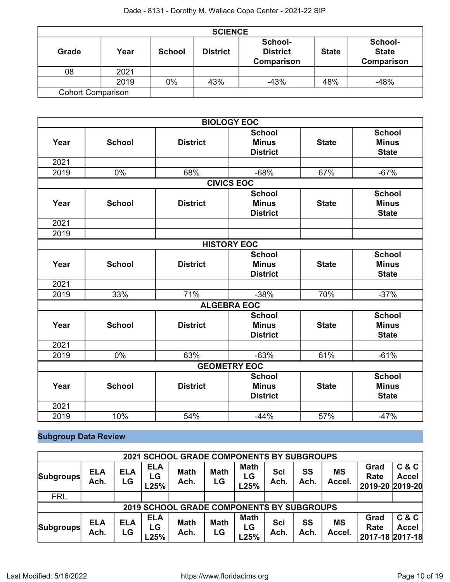| <b>SCIENCE</b>           |      |               |                 |                                                 |              |                                       |  |  |
|--------------------------|------|---------------|-----------------|-------------------------------------------------|--------------|---------------------------------------|--|--|
| Grade                    | Year | <b>School</b> | <b>District</b> | School-<br><b>District</b><br><b>Comparison</b> | <b>State</b> | School-<br><b>State</b><br>Comparison |  |  |
| 08                       | 2021 |               |                 |                                                 |              |                                       |  |  |
|                          | 2019 | 0%            | 43%             | $-43%$                                          | 48%          | $-48%$                                |  |  |
| <b>Cohort Comparison</b> |      |               |                 |                                                 |              |                                       |  |  |

|                     |                   |                 | <b>BIOLOGY EOC</b> |              |               |  |  |  |
|---------------------|-------------------|-----------------|--------------------|--------------|---------------|--|--|--|
|                     |                   |                 | <b>School</b>      |              | <b>School</b> |  |  |  |
| Year                | <b>School</b>     | <b>District</b> | <b>Minus</b>       | <b>State</b> | <b>Minus</b>  |  |  |  |
|                     |                   |                 | <b>District</b>    |              | <b>State</b>  |  |  |  |
| 2021                |                   |                 |                    |              |               |  |  |  |
| 2019                | 0%                | 68%             | $-68%$             | 67%          | $-67%$        |  |  |  |
|                     | <b>CIVICS EOC</b> |                 |                    |              |               |  |  |  |
|                     |                   |                 | <b>School</b>      |              | <b>School</b> |  |  |  |
| Year                | <b>School</b>     | <b>District</b> | <b>Minus</b>       | <b>State</b> | <b>Minus</b>  |  |  |  |
|                     |                   |                 | <b>District</b>    |              | <b>State</b>  |  |  |  |
| 2021                |                   |                 |                    |              |               |  |  |  |
| 2019                |                   |                 |                    |              |               |  |  |  |
|                     |                   |                 | <b>HISTORY EOC</b> |              |               |  |  |  |
|                     |                   |                 | <b>School</b>      |              | <b>School</b> |  |  |  |
| Year                | <b>School</b>     | <b>District</b> | <b>Minus</b>       | <b>State</b> | <b>Minus</b>  |  |  |  |
|                     |                   |                 | <b>District</b>    |              | <b>State</b>  |  |  |  |
| 2021                |                   |                 |                    |              |               |  |  |  |
| 2019                | 33%               | 71%             | $-38%$             | 70%          | $-37%$        |  |  |  |
|                     |                   |                 | <b>ALGEBRA EOC</b> |              |               |  |  |  |
|                     |                   |                 | <b>School</b>      |              | <b>School</b> |  |  |  |
| Year                | <b>School</b>     | <b>District</b> | <b>Minus</b>       | <b>State</b> | <b>Minus</b>  |  |  |  |
|                     |                   |                 | <b>District</b>    |              | <b>State</b>  |  |  |  |
| 2021                |                   |                 |                    |              |               |  |  |  |
| 2019                | 0%                | 63%             | $-63%$             | 61%          | $-61%$        |  |  |  |
| <b>GEOMETRY EOC</b> |                   |                 |                    |              |               |  |  |  |
|                     |                   |                 | <b>School</b>      |              | <b>School</b> |  |  |  |
| Year                | <b>School</b>     | <b>District</b> | <b>Minus</b>       | <b>State</b> | <b>Minus</b>  |  |  |  |
|                     |                   |                 | <b>District</b>    |              | <b>State</b>  |  |  |  |
| 2021                |                   |                 |                    |              |               |  |  |  |
| 2019                | 10%               | 54%             | $-44%$             | 57%          | $-47%$        |  |  |  |

# **Subgroup Data Review**

|                  |                    |                  |                          | <b>2021 SCHOOL GRADE COMPONENTS BY SUBGROUPS</b> |                   |                           |             |                   |                     |                                 |                       |
|------------------|--------------------|------------------|--------------------------|--------------------------------------------------|-------------------|---------------------------|-------------|-------------------|---------------------|---------------------------------|-----------------------|
| <b>Subgroups</b> | <b>ELA</b><br>Ach. | <b>ELA</b><br>LG | <b>ELA</b><br>LG<br>L25% | <b>Math</b><br>Ach.                              | <b>Math</b><br>LG | <b>Math</b><br>LG<br>L25% | Sci<br>Ach. | SS<br>Ach.        | <b>MS</b><br>Accel. | Grad<br>Rate<br>2019-20 2019-20 | C & C<br><b>Accel</b> |
| <b>FRL</b>       |                    |                  |                          |                                                  |                   |                           |             |                   |                     |                                 |                       |
|                  |                    |                  |                          | <b>2019 SCHOOL GRADE COMPONENTS BY SUBGROUPS</b> |                   |                           |             |                   |                     |                                 |                       |
| <b>Subgroups</b> | <b>ELA</b><br>Ach. | <b>ELA</b><br>LG | <b>ELA</b><br>LG<br>L25% | <b>Math</b><br>Ach.                              | <b>Math</b><br>LG | <b>Math</b><br>LG<br>L25% | Sci<br>Ach. | <b>SS</b><br>Ach. | <b>MS</b><br>Accel. | Grad<br>Rate<br>2017-18 2017-18 | C & C<br><b>Accel</b> |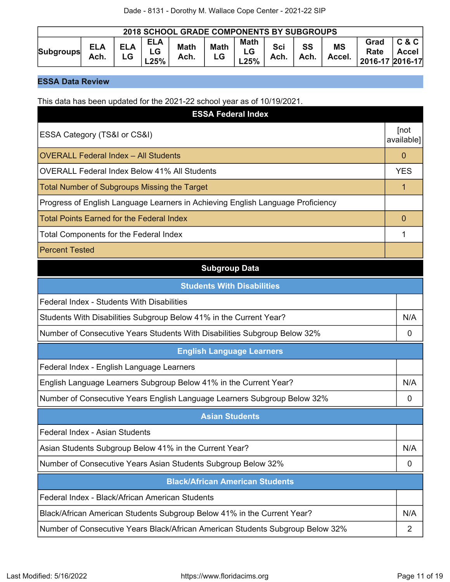| <b>2018 SCHOOL GRADE COMPONENTS BY SUBGROUPS</b> |                    |                  |                   |                     |                   |                        |                    |                   |                     |                                 |                                |
|--------------------------------------------------|--------------------|------------------|-------------------|---------------------|-------------------|------------------------|--------------------|-------------------|---------------------|---------------------------------|--------------------------------|
| <b>Subgroups</b>                                 | <b>ELA</b><br>Ach. | <b>ELA</b><br>LG | <b>ELA</b><br>25% | <b>Math</b><br>Ach. | <b>Math</b><br>LG | <b>Math</b><br>$-25\%$ | <b>Sci</b><br>Ach. | <b>SS</b><br>Ach. | <b>MS</b><br>Accel. | Grad<br>Rate<br>2016-17 2016-17 | <b>C&amp;C</b><br><b>Accel</b> |

### **ESSA Data Review**

This data has been updated for the 2021-22 school year as of 10/19/2021.

| <b>ESSA Federal Index</b>                                                       |                    |
|---------------------------------------------------------------------------------|--------------------|
| ESSA Category (TS&I or CS&I)                                                    | [not<br>available] |
| <b>OVERALL Federal Index - All Students</b>                                     | $\mathbf{0}$       |
| <b>OVERALL Federal Index Below 41% All Students</b>                             | <b>YES</b>         |
| <b>Total Number of Subgroups Missing the Target</b>                             | 1                  |
| Progress of English Language Learners in Achieving English Language Proficiency |                    |
| <b>Total Points Earned for the Federal Index</b>                                | $\overline{0}$     |
| <b>Total Components for the Federal Index</b>                                   |                    |
| <b>Percent Tested</b>                                                           |                    |
| <b>Subgroup Data</b>                                                            |                    |
| <b>Students With Disabilities</b>                                               |                    |
| Federal Index - Students With Disabilities                                      |                    |
| Students With Disabilities Subgroup Below 41% in the Current Year?              | N/A                |
| Number of Consecutive Years Students With Disabilities Subgroup Below 32%       | 0                  |
| <b>English Language Learners</b>                                                |                    |
| Federal Index - English Language Learners                                       |                    |
| English Language Learners Subgroup Below 41% in the Current Year?               | N/A                |
| Number of Consecutive Years English Language Learners Subgroup Below 32%        | 0                  |
| <b>Asian Students</b>                                                           |                    |
| Federal Index - Asian Students                                                  |                    |
| Asian Students Subgroup Below 41% in the Current Year?                          | N/A                |
| Number of Consecutive Years Asian Students Subgroup Below 32%                   | 0                  |
| <b>Black/African American Students</b>                                          |                    |
| Federal Index - Black/African American Students                                 |                    |
| Black/African American Students Subgroup Below 41% in the Current Year?         | N/A                |
| Number of Consecutive Years Black/African American Students Subgroup Below 32%  | 2                  |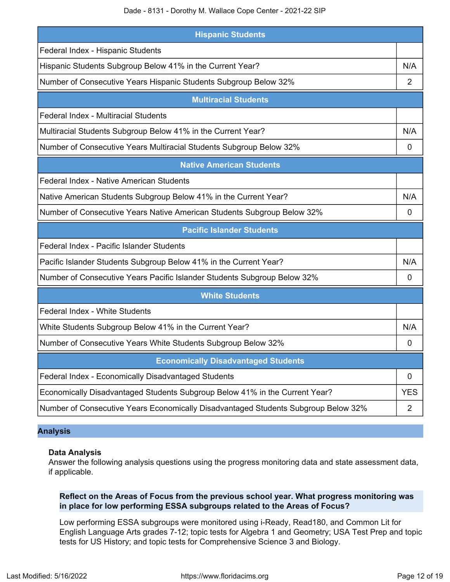| <b>Hispanic Students</b>                                                    |            |
|-----------------------------------------------------------------------------|------------|
| Federal Index - Hispanic Students                                           |            |
| Hispanic Students Subgroup Below 41% in the Current Year?                   | N/A        |
| Number of Consecutive Years Hispanic Students Subgroup Below 32%            | 2          |
| <b>Multiracial Students</b>                                                 |            |
| <b>Federal Index - Multiracial Students</b>                                 |            |
| Multiracial Students Subgroup Below 41% in the Current Year?                | N/A        |
| Number of Consecutive Years Multiracial Students Subgroup Below 32%         | 0          |
| <b>Native American Students</b>                                             |            |
| Federal Index - Native American Students                                    |            |
| Native American Students Subgroup Below 41% in the Current Year?            | N/A        |
| Number of Consecutive Years Native American Students Subgroup Below 32%     | 0          |
| <b>Pacific Islander Students</b>                                            |            |
| Federal Index - Pacific Islander Students                                   |            |
| Pacific Islander Students Subgroup Below 41% in the Current Year?           |            |
|                                                                             | N/A        |
| Number of Consecutive Years Pacific Islander Students Subgroup Below 32%    | 0          |
| <b>White Students</b>                                                       |            |
| Federal Index - White Students                                              |            |
| White Students Subgroup Below 41% in the Current Year?                      | N/A        |
| Number of Consecutive Years White Students Subgroup Below 32%               | 0          |
| <b>Economically Disadvantaged Students</b>                                  |            |
| Federal Index - Economically Disadvantaged Students                         | 0          |
| Economically Disadvantaged Students Subgroup Below 41% in the Current Year? | <b>YES</b> |

### **Analysis**

### **Data Analysis**

Answer the following analysis questions using the progress monitoring data and state assessment data, if applicable.

### **Reflect on the Areas of Focus from the previous school year. What progress monitoring was in place for low performing ESSA subgroups related to the Areas of Focus?**

Low performing ESSA subgroups were monitored using i-Ready, Read180, and Common Lit for English Language Arts grades 7-12; topic tests for Algebra 1 and Geometry; USA Test Prep and topic tests for US History; and topic tests for Comprehensive Science 3 and Biology.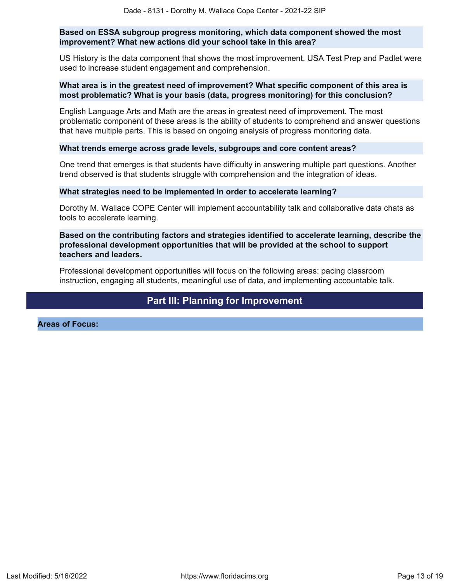### **Based on ESSA subgroup progress monitoring, which data component showed the most improvement? What new actions did your school take in this area?**

US History is the data component that shows the most improvement. USA Test Prep and Padlet were used to increase student engagement and comprehension.

### **What area is in the greatest need of improvement? What specific component of this area is most problematic? What is your basis (data, progress monitoring) for this conclusion?**

English Language Arts and Math are the areas in greatest need of improvement. The most problematic component of these areas is the ability of students to comprehend and answer questions that have multiple parts. This is based on ongoing analysis of progress monitoring data.

### **What trends emerge across grade levels, subgroups and core content areas?**

One trend that emerges is that students have difficulty in answering multiple part questions. Another trend observed is that students struggle with comprehension and the integration of ideas.

#### **What strategies need to be implemented in order to accelerate learning?**

Dorothy M. Wallace COPE Center will implement accountability talk and collaborative data chats as tools to accelerate learning.

### **Based on the contributing factors and strategies identified to accelerate learning, describe the professional development opportunities that will be provided at the school to support teachers and leaders.**

Professional development opportunities will focus on the following areas: pacing classroom instruction, engaging all students, meaningful use of data, and implementing accountable talk.

### **Part III: Planning for Improvement**

<span id="page-12-0"></span>**Areas of Focus:**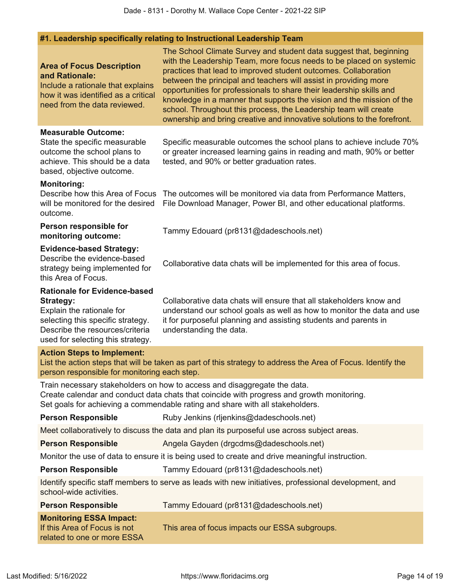### **#1. Leadership specifically relating to Instructional Leadership Team**

| <b>Area of Focus Description</b><br>and Rationale:<br>Include a rationale that explains<br>how it was identified as a critical<br>need from the data reviewed.                                    | The School Climate Survey and student data suggest that, beginning<br>with the Leadership Team, more focus needs to be placed on systemic<br>practices that lead to improved student outcomes. Collaboration<br>between the principal and teachers will assist in providing more<br>opportunities for professionals to share their leadership skills and<br>knowledge in a manner that supports the vision and the mission of the<br>school. Throughout this process, the Leadership team will create<br>ownership and bring creative and innovative solutions to the forefront. |
|---------------------------------------------------------------------------------------------------------------------------------------------------------------------------------------------------|----------------------------------------------------------------------------------------------------------------------------------------------------------------------------------------------------------------------------------------------------------------------------------------------------------------------------------------------------------------------------------------------------------------------------------------------------------------------------------------------------------------------------------------------------------------------------------|
| <b>Measurable Outcome:</b><br>State the specific measurable<br>outcome the school plans to<br>achieve. This should be a data<br>based, objective outcome.                                         | Specific measurable outcomes the school plans to achieve include 70%<br>or greater increased learning gains in reading and math, 90% or better<br>tested, and 90% or better graduation rates.                                                                                                                                                                                                                                                                                                                                                                                    |
| <b>Monitoring:</b><br>Describe how this Area of Focus<br>will be monitored for the desired<br>outcome.                                                                                            | The outcomes will be monitored via data from Performance Matters,<br>File Download Manager, Power BI, and other educational platforms.                                                                                                                                                                                                                                                                                                                                                                                                                                           |
| Person responsible for<br>monitoring outcome:                                                                                                                                                     | Tammy Edouard (pr8131@dadeschools.net)                                                                                                                                                                                                                                                                                                                                                                                                                                                                                                                                           |
| <b>Evidence-based Strategy:</b><br>Describe the evidence-based<br>strategy being implemented for<br>this Area of Focus.                                                                           | Collaborative data chats will be implemented for this area of focus.                                                                                                                                                                                                                                                                                                                                                                                                                                                                                                             |
| <b>Rationale for Evidence-based</b><br><b>Strategy:</b><br>Explain the rationale for<br>selecting this specific strategy.<br>Describe the resources/criteria<br>used for selecting this strategy. | Collaborative data chats will ensure that all stakeholders know and<br>understand our school goals as well as how to monitor the data and use<br>it for purposeful planning and assisting students and parents in<br>understanding the data.                                                                                                                                                                                                                                                                                                                                     |
| <b>Action Steps to Implement:</b><br>person responsible for monitoring each step.                                                                                                                 | List the action steps that will be taken as part of this strategy to address the Area of Focus. Identify the                                                                                                                                                                                                                                                                                                                                                                                                                                                                     |
|                                                                                                                                                                                                   | Train necessary stakeholders on how to access and disaggregate the data.<br>Create calendar and conduct data chats that coincide with progress and growth monitoring.<br>Set goals for achieving a commendable rating and share with all stakeholders.                                                                                                                                                                                                                                                                                                                           |
| <b>Person Responsible</b>                                                                                                                                                                         | Ruby Jenkins (rijenkins@dadeschools.net)                                                                                                                                                                                                                                                                                                                                                                                                                                                                                                                                         |
|                                                                                                                                                                                                   | Meet collaboratively to discuss the data and plan its purposeful use across subject areas.                                                                                                                                                                                                                                                                                                                                                                                                                                                                                       |
| <b>Person Responsible</b>                                                                                                                                                                         | Angela Gayden (drgcdms@dadeschools.net)                                                                                                                                                                                                                                                                                                                                                                                                                                                                                                                                          |
|                                                                                                                                                                                                   | Monitor the use of data to ensure it is being used to create and drive meaningful instruction.                                                                                                                                                                                                                                                                                                                                                                                                                                                                                   |
| <b>Person Responsible</b>                                                                                                                                                                         | Tammy Edouard (pr8131@dadeschools.net)                                                                                                                                                                                                                                                                                                                                                                                                                                                                                                                                           |
| school-wide activities.                                                                                                                                                                           | Identify specific staff members to serve as leads with new initiatives, professional development, and                                                                                                                                                                                                                                                                                                                                                                                                                                                                            |
| <b>Person Responsible</b>                                                                                                                                                                         | Tammy Edouard (pr8131@dadeschools.net)                                                                                                                                                                                                                                                                                                                                                                                                                                                                                                                                           |
| <b>Monitoring ESSA Impact:</b><br>If this Area of Focus is not<br>related to one or more ESSA                                                                                                     | This area of focus impacts our ESSA subgroups.                                                                                                                                                                                                                                                                                                                                                                                                                                                                                                                                   |
|                                                                                                                                                                                                   |                                                                                                                                                                                                                                                                                                                                                                                                                                                                                                                                                                                  |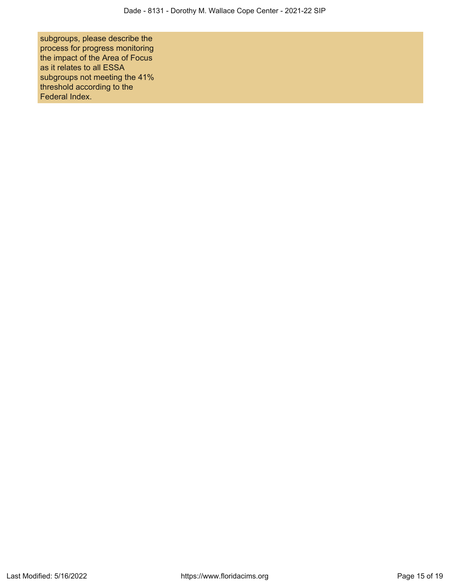subgroups, please describe the process for progress monitoring the impact of the Area of Focus as it relates to all ESSA subgroups not meeting the 41% threshold according to the Federal Index.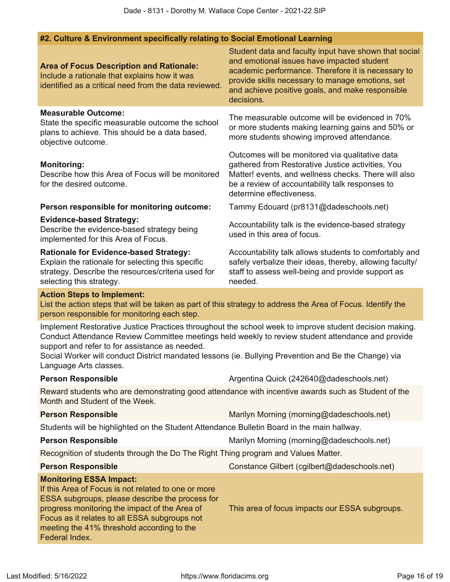### **#2. Culture & Environment specifically relating to Social Emotional Learning**

| <b>Area of Focus Description and Rationale:</b><br>Include a rationale that explains how it was<br>identified as a critical need from the data reviewed.                                                                                                                                                   | Student data and faculty input have shown that social<br>and emotional issues have impacted student<br>academic performance. Therefore it is necessary to<br>provide skills necessary to manage emotions, set<br>and achieve positive goals, and make responsible<br>decisions. |  |  |  |
|------------------------------------------------------------------------------------------------------------------------------------------------------------------------------------------------------------------------------------------------------------------------------------------------------------|---------------------------------------------------------------------------------------------------------------------------------------------------------------------------------------------------------------------------------------------------------------------------------|--|--|--|
| <b>Measurable Outcome:</b><br>State the specific measurable outcome the school<br>plans to achieve. This should be a data based,<br>objective outcome.                                                                                                                                                     | The measurable outcome will be evidenced in 70%<br>or more students making learning gains and 50% or<br>more students showing improved attendance.                                                                                                                              |  |  |  |
| <b>Monitoring:</b><br>Describe how this Area of Focus will be monitored<br>for the desired outcome.                                                                                                                                                                                                        | Outcomes will be monitored via qualitative data<br>gathered from Restorative Justice activities, You<br>Matter! events, and wellness checks. There will also<br>be a review of accountability talk responses to<br>determine effectiveness.                                     |  |  |  |
| Person responsible for monitoring outcome:                                                                                                                                                                                                                                                                 | Tammy Edouard (pr8131@dadeschools.net)                                                                                                                                                                                                                                          |  |  |  |
| <b>Evidence-based Strategy:</b><br>Describe the evidence-based strategy being<br>implemented for this Area of Focus.                                                                                                                                                                                       | Accountability talk is the evidence-based strategy<br>used in this area of focus.                                                                                                                                                                                               |  |  |  |
| <b>Rationale for Evidence-based Strategy:</b><br>Explain the rationale for selecting this specific<br>strategy. Describe the resources/criteria used for<br>selecting this strategy.                                                                                                                       | Accountability talk allows students to comfortably and<br>safely verbalize their ideas, thereby, allowing faculty/<br>staff to assess well-being and provide support as<br>needed.                                                                                              |  |  |  |
| <b>Action Steps to Implement:</b><br>List the action steps that will be taken as part of this strategy to address the Area of Focus. Identify the<br>person responsible for monitoring each step.                                                                                                          |                                                                                                                                                                                                                                                                                 |  |  |  |
| support and refer to for assistance as needed.<br>Social Worker will conduct District mandated lessons (ie. Bullying Prevention and Be the Change) via<br>Language Arts classes.                                                                                                                           | Implement Restorative Justice Practices throughout the school week to improve student decision making.<br>Conduct Attendance Review Committee meetings held weekly to review student attendance and provide                                                                     |  |  |  |
| <b>Person Responsible</b>                                                                                                                                                                                                                                                                                  | Argentina Quick (242640@dadeschools.net)                                                                                                                                                                                                                                        |  |  |  |
| Reward students who are demonstrating good attendance with incentive awards such as Student of the<br>Month and Student of the Week.                                                                                                                                                                       |                                                                                                                                                                                                                                                                                 |  |  |  |
| <b>Person Responsible</b>                                                                                                                                                                                                                                                                                  | Marilyn Morning (morning@dadeschools.net)                                                                                                                                                                                                                                       |  |  |  |
| Students will be highlighted on the Student Attendance Bulletin Board in the main hallway.                                                                                                                                                                                                                 |                                                                                                                                                                                                                                                                                 |  |  |  |
| <b>Person Responsible</b>                                                                                                                                                                                                                                                                                  | Marilyn Morning (morning@dadeschools.net)                                                                                                                                                                                                                                       |  |  |  |
| Recognition of students through the Do The Right Thing program and Values Matter.                                                                                                                                                                                                                          |                                                                                                                                                                                                                                                                                 |  |  |  |
| <b>Person Responsible</b>                                                                                                                                                                                                                                                                                  | Constance Gilbert (cgilbert@dadeschools.net)                                                                                                                                                                                                                                    |  |  |  |
| <b>Monitoring ESSA Impact:</b><br>If this Area of Focus is not related to one or more<br>ESSA subgroups, please describe the process for<br>progress monitoring the impact of the Area of<br>Focus as it relates to all ESSA subgroups not<br>meeting the 41% threshold according to the<br>Federal Index. | This area of focus impacts our ESSA subgroups.                                                                                                                                                                                                                                  |  |  |  |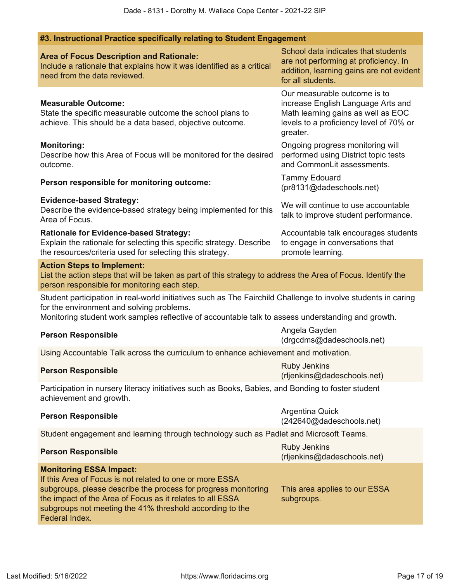| <b>Area of Focus Description and Rationale:</b><br>Include a rationale that explains how it was identified as a critical<br>need from the data reviewed. | School data indicates that students<br>are not performing at proficiency. In<br>addition, learning gains are not evident<br>for all students. |
|----------------------------------------------------------------------------------------------------------------------------------------------------------|-----------------------------------------------------------------------------------------------------------------------------------------------|
|                                                                                                                                                          | Our measurable outcome is to                                                                                                                  |

**#3. Instructional Practice specifically relating to Student Engagement**

#### **Measurable Outcome:** State the specific measurable outcome the school plans to achieve. This should be a data based, objective outcome.

### **Monitoring:**

Describe how this Area of Focus will be monitored for the desired outcome.

# **Person responsible for monitoring outcome:** Tammy Edouard

### **Evidence-based Strategy:**

#### Describe the evidence-based strategy being implemented for this Area of Focus.

### **Rationale for Evidence-based Strategy:**

Explain the rationale for selecting this specific strategy. Describe the resources/criteria used for selecting this strategy.

subgroups not meeting the 41% threshold according to the

### **Action Steps to Implement:**

List the action steps that will be taken as part of this strategy to address the Area of Focus. Identify the person responsible for monitoring each step.

Student participation in real-world initiatives such as The Fairchild Challenge to involve students in caring for the environment and solving problems.

Monitoring student work samples reflective of accountable talk to assess understanding and growth.

# **Person Responsible** Angela Gayden **Angela Gayden**

(drgcdms@dadeschools.net)

increase English Language Arts and Math learning gains as well as EOC levels to a proficiency level of 70% or

Ongoing progress monitoring will performed using District topic tests and CommonLit assessments.

We will continue to use accountable talk to improve student performance.

Accountable talk encourages students

to engage in conversations that

promote learning.

(pr8131@dadeschools.net)

greater.

Using Accountable Talk across the curriculum to enhance achievement and motivation.

# **Person Responsible** Ruby Jenkins (and the settlement of the settlement of the settlement of the settlement of the set

(rljenkins@dadeschools.net)

Participation in nursery literacy initiatives such as Books, Babies, and Bonding to foster student achievement and growth.

# **Person Responsible** Argentina Quick **Person Responsible**

(242640@dadeschools.net)

Student engagement and learning through technology such as Padlet and Microsoft Teams.

| <b>Person Responsible</b>                                      | <b>Ruby Jenkins</b><br>(rijenkins@dadeschools.net) |
|----------------------------------------------------------------|----------------------------------------------------|
| <b>Monitoring ESSA Impact:</b>                                 |                                                    |
| If this Area of Focus is not related to one or more ESSA       |                                                    |
| subgroups, please describe the process for progress monitoring | This area applies to our ESSA                      |
| the impact of the Area of Focus as it relates to all ESSA      | subgroups.                                         |

Federal Index.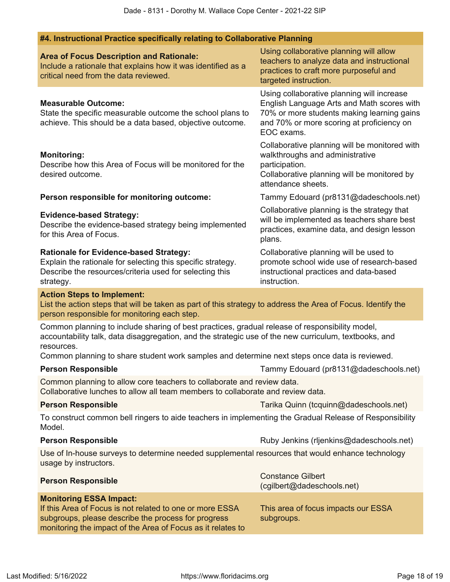| #4. Instructional Practice specifically relating to Collaborative Planning                                                                                                                                            |                                                                                                                                                                                                   |
|-----------------------------------------------------------------------------------------------------------------------------------------------------------------------------------------------------------------------|---------------------------------------------------------------------------------------------------------------------------------------------------------------------------------------------------|
| <b>Area of Focus Description and Rationale:</b><br>Include a rationale that explains how it was identified as a<br>critical need from the data reviewed.                                                              | Using collaborative planning will allow<br>teachers to analyze data and instructional<br>practices to craft more purposeful and<br>targeted instruction.                                          |
| <b>Measurable Outcome:</b><br>State the specific measurable outcome the school plans to<br>achieve. This should be a data based, objective outcome.                                                                   | Using collaborative planning will increase<br>English Language Arts and Math scores with<br>70% or more students making learning gains<br>and 70% or more scoring at proficiency on<br>EOC exams. |
| <b>Monitoring:</b><br>Describe how this Area of Focus will be monitored for the<br>desired outcome.                                                                                                                   | Collaborative planning will be monitored with<br>walkthroughs and administrative<br>participation.<br>Collaborative planning will be monitored by<br>attendance sheets.                           |
| Person responsible for monitoring outcome:                                                                                                                                                                            | Tammy Edouard (pr8131@dadeschools.net)                                                                                                                                                            |
| <b>Evidence-based Strategy:</b><br>Describe the evidence-based strategy being implemented<br>for this Area of Focus.                                                                                                  | Collaborative planning is the strategy that<br>will be implemented as teachers share best<br>practices, examine data, and design lesson<br>plans.                                                 |
| <b>Rationale for Evidence-based Strategy:</b><br>Explain the rationale for selecting this specific strategy.<br>Describe the resources/criteria used for selecting this<br>strategy.                                  | Collaborative planning will be used to<br>promote school wide use of research-based<br>instructional practices and data-based<br>instruction.                                                     |
| <b>Action Steps to Implement:</b><br>List the action steps that will be taken as part of this strategy to address the Area of Focus. Identify the<br>person responsible for monitoring each step.                     |                                                                                                                                                                                                   |
| Common planning to include sharing of best practices, gradual release of responsibility model,<br>accountability talk, data disaggregation, and the strategic use of the new curriculum, textbooks, and<br>resources. |                                                                                                                                                                                                   |
| Common planning to share student work samples and determine next steps once data is reviewed.                                                                                                                         |                                                                                                                                                                                                   |
| <b>Person Responsible</b>                                                                                                                                                                                             | Tammy Edouard (pr8131@dadeschools.net)                                                                                                                                                            |
| Common planning to allow core teachers to collaborate and review data.<br>Collaborative lunches to allow all team members to collaborate and review data.                                                             |                                                                                                                                                                                                   |
| <b>Person Responsible</b>                                                                                                                                                                                             | Tarika Quinn (tcquinn@dadeschools.net)                                                                                                                                                            |
| To construct common bell ringers to aide teachers in implementing the Gradual Release of Responsibility<br>Model.                                                                                                     |                                                                                                                                                                                                   |
| <b>Person Responsible</b>                                                                                                                                                                                             | Ruby Jenkins (rijenkins@dadeschools.net)                                                                                                                                                          |
| Use of In-house surveys to determine needed supplemental resources that would enhance technology<br>usage by instructors.                                                                                             |                                                                                                                                                                                                   |
| <b>Person Responsible</b>                                                                                                                                                                                             | <b>Constance Gilbert</b><br>(cgilbert@dadeschools.net)                                                                                                                                            |
| <b>Monitoring ESSA Impact:</b><br>If this Area of Focus is not related to one or more ESSA<br>subgroups, please describe the process for progress<br>monitoring the impact of the Area of Focus as it relates to      | This area of focus impacts our ESSA<br>subgroups.                                                                                                                                                 |